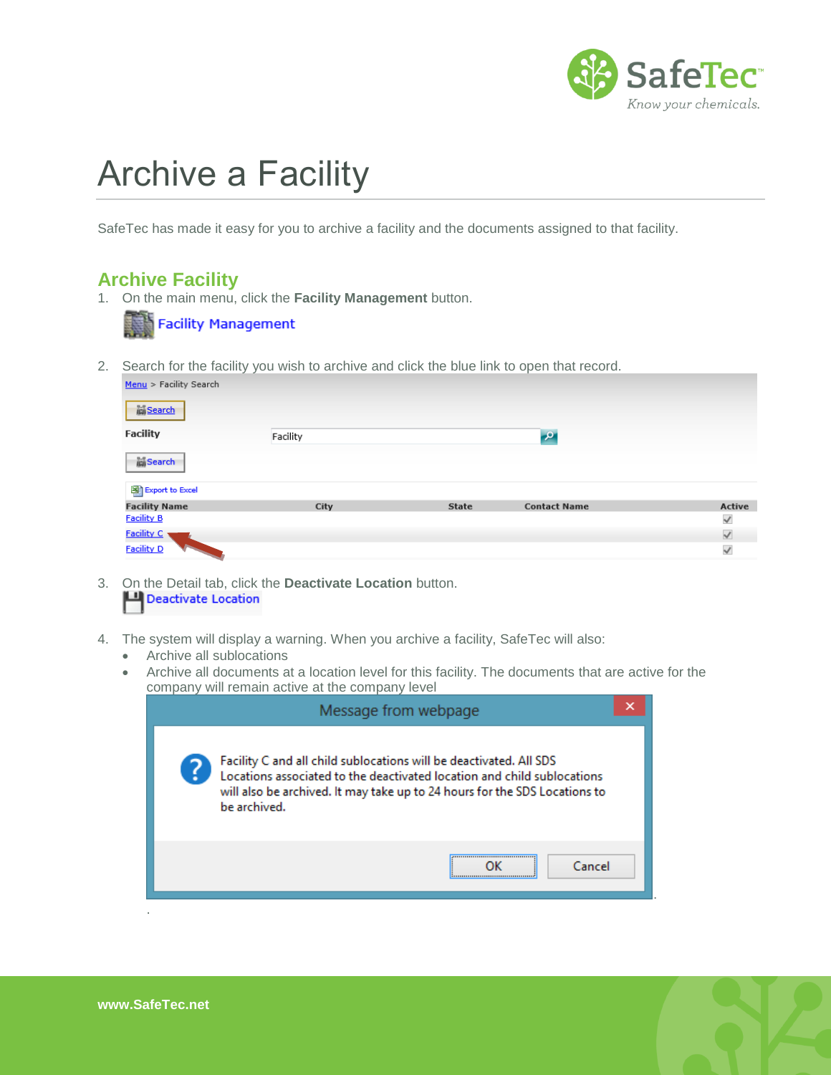

## Archive a Facility

SafeTec has made it easy for you to archive a facility and the documents assigned to that facility.

## **Archive Facility**

1. On the main menu, click the **Facility Management** button.

|  |  | <b>Facility Management</b> |
|--|--|----------------------------|
|--|--|----------------------------|

2. Search for the facility you wish to archive and click the blue link to open that record.

| Menu > Facility Search |          |              |                     |              |
|------------------------|----------|--------------|---------------------|--------------|
| <b>M</b> Search        |          |              |                     |              |
| <b>Facility</b>        | Facility |              | $\mathbf{p}$        |              |
| <b>Search</b>          |          |              |                     |              |
| Export to Excel        |          |              |                     |              |
| <b>Facility Name</b>   | City     | <b>State</b> | <b>Contact Name</b> | Active       |
| <b>Facility B</b>      |          |              |                     | $\checkmark$ |
| Facility C             |          |              |                     | $\checkmark$ |
| <b>Facility D</b>      |          |              |                     | $\checkmark$ |

- 3. On the Detail tab, click the **Deactivate Location** button. Deactivate Location
- 4. The system will display a warning. When you archive a facility, SafeTec will also:
	- Archive all sublocations
	- Archive all documents at a location level for this facility. The documents that are active for the company will remain active at the company level

|  | Message from webpage                                                                                                                                                                                                                        |  |  |
|--|---------------------------------------------------------------------------------------------------------------------------------------------------------------------------------------------------------------------------------------------|--|--|
|  | Facility C and all child sublocations will be deactivated. All SDS<br>Locations associated to the deactivated location and child sublocations<br>will also be archived. It may take up to 24 hours for the SDS Locations to<br>be archived. |  |  |
|  | Cancel                                                                                                                                                                                                                                      |  |  |



.